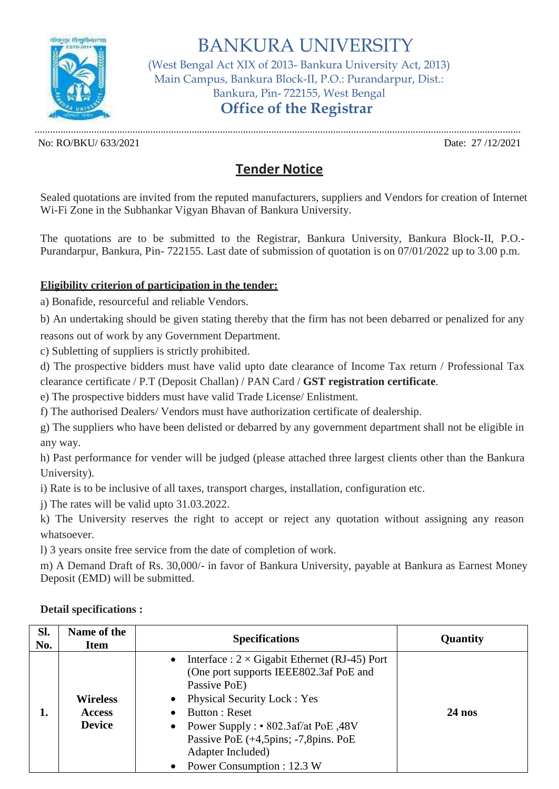

BANKURA UNIVERSITY (West Bengal Act XIX of 2013- Bankura University Act, 2013) Main Campus, Bankura Block-II, P.O.: Purandarpur, Dist.: Bankura, Pin- 722155, West Bengal **Office of the Registrar**

No: RO/BKU/ 633/2021 Date: 27 /12/2021

## **Tender Notice**

Sealed quotations are invited from the reputed manufacturers, suppliers and Vendors for creation of Internet Wi-Fi Zone in the Subhankar Vigyan Bhavan of Bankura University.

The quotations are to be submitted to the Registrar, Bankura University, Bankura Block-II, P.O.- Purandarpur, Bankura, Pin- 722155. Last date of submission of quotation is on 07/01/2022 up to 3.00 p.m.

## **Eligibility criterion of participation in the tender:**

a) Bonafide, resourceful and reliable Vendors.

b) An undertaking should be given stating thereby that the firm has not been debarred or penalized for any reasons out of work by any Government Department.

c) Subletting of suppliers is strictly prohibited.

d) The prospective bidders must have valid upto date clearance of Income Tax return / Professional Tax clearance certificate / P.T (Deposit Challan) / PAN Card / **GST registration certificate**.

e) The prospective bidders must have valid Trade License/ Enlistment.

f) The authorised Dealers/ Vendors must have authorization certificate of dealership.

g) The suppliers who have been delisted or debarred by any government department shall not be eligible in any way.

h) Past performance for vender will be judged (please attached three largest clients other than the Bankura University).

i) Rate is to be inclusive of all taxes, transport charges, installation, configuration etc.

j) The rates will be valid upto 31.03.2022.

k) The University reserves the right to accept or reject any quotation without assigning any reason whatsoever.

l) 3 years onsite free service from the date of completion of work.

m) A Demand Draft of Rs. 30,000/- in favor of Bankura University, payable at Bankura as Earnest Money Deposit (EMD) will be submitted.

| SI.<br>No. | Name of the<br>Item                               | <b>Specifications</b>                                                                                                                                                                                                                                                                                                                                                | Quantity |
|------------|---------------------------------------------------|----------------------------------------------------------------------------------------------------------------------------------------------------------------------------------------------------------------------------------------------------------------------------------------------------------------------------------------------------------------------|----------|
| 1.         | <b>Wireless</b><br><b>Access</b><br><b>Device</b> | Interface : $2 \times$ Gigabit Ethernet (RJ-45) Port<br>$\bullet$<br>(One port supports IEEE802.3af PoE and<br>Passive PoE)<br><b>Physical Security Lock: Yes</b><br>$\bullet$<br>Button: Reset<br>$\bullet$<br>• Power Supply : $\cdot$ 802.3af/at PoE ,48V<br>Passive PoE (+4,5pins; -7,8pins. PoE<br>Adapter Included)<br>Power Consumption : 12.3 W<br>$\bullet$ | $24$ nos |

## **Detail specifications :**

.............................................................................................................................................................................................